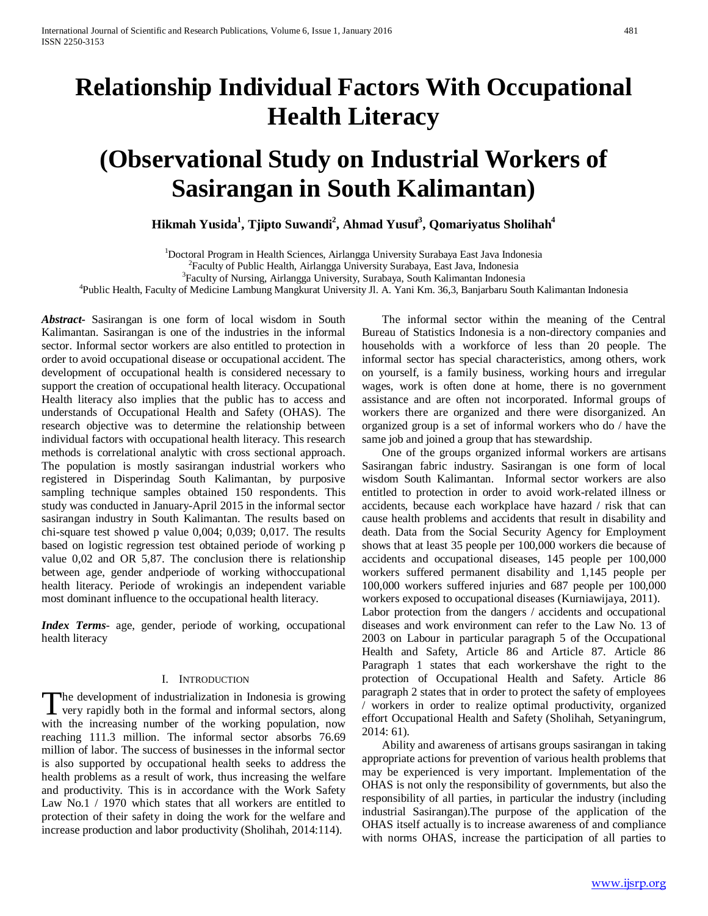# **Relationship Individual Factors With Occupational Health Literacy**

# **(Observational Study on Industrial Workers of Sasirangan in South Kalimantan)**

 $\bold{Hikmah\; Yusida}^{1},$  Tjipto Suwandi $^{2},$  Ahmad Yusuf $^{3},$  Qomariyatus Sholihah $^{4}$ 

<sup>1</sup>Doctoral Program in Health Sciences, Airlangga University Surabaya East Java Indonesia<br><sup>2</sup>Easylty of Public Health, Airlangga University Surabaya, East Java, Indonesia

<sup>2</sup> Faculty of Public Health, Airlangga University Surabaya, East Java, Indonesia

<sup>3</sup>Faculty of Nursing, Airlangga University, Surabaya, South Kalimantan Indonesia

Public Health, Faculty of Medicine Lambung Mangkurat University Jl. A. Yani Km. 36,3, Banjarbaru South Kalimantan Indonesia

*Abstract***-** Sasirangan is one form of local wisdom in South Kalimantan. Sasirangan is one of the industries in the informal sector. Informal sector workers are also entitled to protection in order to avoid occupational disease or occupational accident. The development of occupational health is considered necessary to support the creation of occupational health literacy. Occupational Health literacy also implies that the public has to access and understands of Occupational Health and Safety (OHAS). The research objective was to determine the relationship between individual factors with occupational health literacy. This research methods is correlational analytic with cross sectional approach. The population is mostly sasirangan industrial workers who registered in Disperindag South Kalimantan, by purposive sampling technique samples obtained 150 respondents. This study was conducted in January-April 2015 in the informal sector sasirangan industry in South Kalimantan. The results based on chi-square test showed p value 0,004; 0,039; 0,017. The results based on logistic regression test obtained periode of working p value 0,02 and OR 5,87. The conclusion there is relationship between age, gender andperiode of working withoccupational health literacy. Periode of wrokingis an independent variable most dominant influence to the occupational health literacy.

*Index Terms*- age, gender, periode of working, occupational health literacy

#### I. INTRODUCTION

he development of industrialization in Indonesia is growing The development of industrialization in Indonesia is growing<br>very rapidly both in the formal and informal sectors, along<br> $\frac{1}{2}$ with the increasing number of the working population, now reaching 111.3 million. The informal sector absorbs 76.69 million of labor. The success of businesses in the informal sector is also supported by occupational health seeks to address the health problems as a result of work, thus increasing the welfare and productivity. This is in accordance with the Work Safety Law No.1 / 1970 which states that all workers are entitled to protection of their safety in doing the work for the welfare and increase production and labor productivity (Sholihah, 2014:114).

 The informal sector within the meaning of the Central Bureau of Statistics Indonesia is a non-directory companies and households with a workforce of less than 20 people. The informal sector has special characteristics, among others, work on yourself, is a family business, working hours and irregular wages, work is often done at home, there is no government assistance and are often not incorporated. Informal groups of workers there are organized and there were disorganized. An organized group is a set of informal workers who do / have the same job and joined a group that has stewardship.

 One of the groups organized informal workers are artisans Sasirangan fabric industry. Sasirangan is one form of local wisdom South Kalimantan. Informal sector workers are also entitled to protection in order to avoid work-related illness or accidents, because each workplace have hazard / risk that can cause health problems and accidents that result in disability and death. Data from the Social Security Agency for Employment shows that at least 35 people per 100,000 workers die because of accidents and occupational diseases, 145 people per 100,000 workers suffered permanent disability and 1,145 people per 100,000 workers suffered injuries and 687 people per 100,000 workers exposed to occupational diseases (Kurniawijaya, 2011). Labor protection from the dangers / accidents and occupational diseases and work environment can refer to the Law No. 13 of 2003 on Labour in particular paragraph 5 of the Occupational Health and Safety, Article 86 and Article 87. Article 86 Paragraph 1 states that each workershave the right to the protection of Occupational Health and Safety. Article 86 paragraph 2 states that in order to protect the safety of employees workers in order to realize optimal productivity, organized effort Occupational Health and Safety (Sholihah, Setyaningrum, 2014: 61).

 Ability and awareness of artisans groups sasirangan in taking appropriate actions for prevention of various health problems that may be experienced is very important. Implementation of the OHAS is not only the responsibility of governments, but also the responsibility of all parties, in particular the industry (including industrial Sasirangan).The purpose of the application of the OHAS itself actually is to increase awareness of and compliance with norms OHAS, increase the participation of all parties to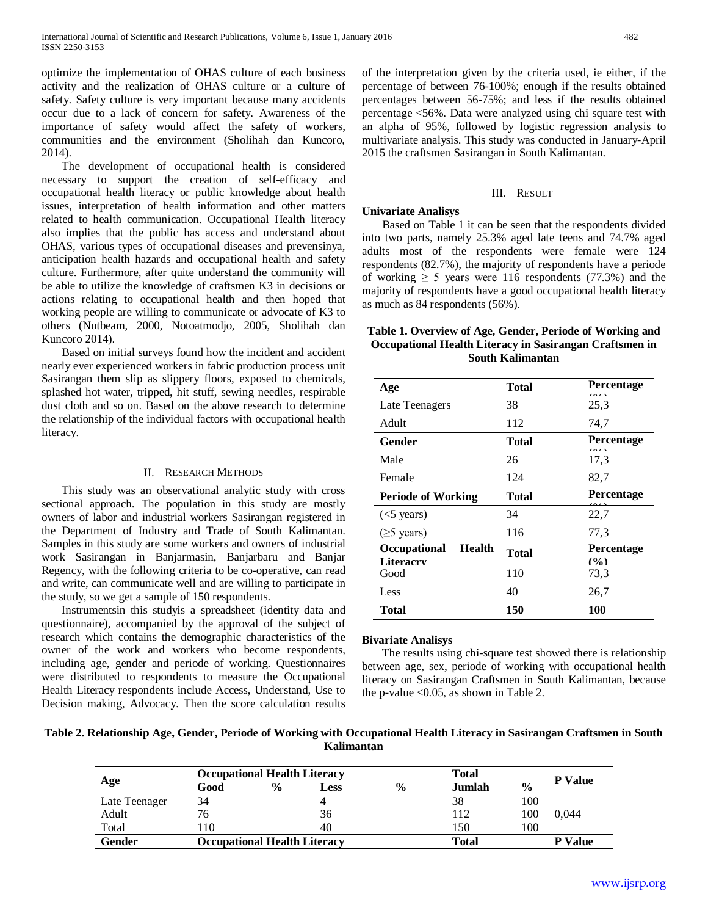optimize the implementation of OHAS culture of each business activity and the realization of OHAS culture or a culture of safety. Safety culture is very important because many accidents occur due to a lack of concern for safety. Awareness of the importance of safety would affect the safety of workers, communities and the environment (Sholihah dan Kuncoro, 2014).

 The development of occupational health is considered necessary to support the creation of self-efficacy and occupational health literacy or public knowledge about health issues, interpretation of health information and other matters related to health communication. Occupational Health literacy also implies that the public has access and understand about OHAS, various types of occupational diseases and prevensinya, anticipation health hazards and occupational health and safety culture. Furthermore, after quite understand the community will be able to utilize the knowledge of craftsmen K3 in decisions or actions relating to occupational health and then hoped that working people are willing to communicate or advocate of K3 to others (Nutbeam, 2000, Notoatmodjo, 2005, Sholihah dan Kuncoro 2014).

 Based on initial surveys found how the incident and accident nearly ever experienced workers in fabric production process unit Sasirangan them slip as slippery floors, exposed to chemicals, splashed hot water, tripped, hit stuff, sewing needles, respirable dust cloth and so on. Based on the above research to determine the relationship of the individual factors with occupational health literacy.

## II. RESEARCH METHODS

 This study was an observational analytic study with cross sectional approach. The population in this study are mostly owners of labor and industrial workers Sasirangan registered in the Department of Industry and Trade of South Kalimantan. Samples in this study are some workers and owners of industrial work Sasirangan in Banjarmasin, Banjarbaru and Banjar Regency, with the following criteria to be co-operative, can read and write, can communicate well and are willing to participate in the study, so we get a sample of 150 respondents.

 Instrumentsin this studyis a spreadsheet (identity data and questionnaire), accompanied by the approval of the subject of research which contains the demographic characteristics of the owner of the work and workers who become respondents, including age, gender and periode of working. Questionnaires were distributed to respondents to measure the Occupational Health Literacy respondents include Access, Understand, Use to Decision making, Advocacy. Then the score calculation results

of the interpretation given by the criteria used, ie either, if the percentage of between 76-100%; enough if the results obtained percentages between 56-75%; and less if the results obtained percentage <56%. Data were analyzed using chi square test with an alpha of 95%, followed by logistic regression analysis to multivariate analysis. This study was conducted in January-April 2015 the craftsmen Sasirangan in South Kalimantan.

# III. RESULT

# **Univariate Analisys**

 Based on Table 1 it can be seen that the respondents divided into two parts, namely 25.3% aged late teens and 74.7% aged adults most of the respondents were female were 124 respondents (82.7%), the majority of respondents have a periode of working  $\geq 5$  years were 116 respondents (77.3%) and the majority of respondents have a good occupational health literacy as much as 84 respondents (56%).

# **Table 1. Overview of Age, Gender, Periode of Working and Occupational Health Literacy in Sasirangan Craftsmen in South Kalimantan**

| Age                                        | Total        | <b>Percentage</b>        |  |  |
|--------------------------------------------|--------------|--------------------------|--|--|
| Late Teenagers                             | 38           | 25,3                     |  |  |
| Adult                                      | 112          | 74,7                     |  |  |
| Gender                                     | Total        | <b>Percentage</b>        |  |  |
| Male                                       | 26           | 17,3                     |  |  |
| Female                                     | 124          | 82,7                     |  |  |
| <b>Periode of Working</b>                  | Total        | <b>Percentage</b>        |  |  |
| $(<5$ years)                               | 34           | 22,7                     |  |  |
| $(\geq 5$ years)                           | 116          | 77,3                     |  |  |
| <b>Health</b><br>Occupational<br>Literacry | <b>Total</b> | <b>Percentage</b><br>(0) |  |  |
| Good                                       | 110          | 73.3                     |  |  |
| Less                                       | 40           | 26,7                     |  |  |
| Total                                      | 150          | 100                      |  |  |

#### **Bivariate Analisys**

 The results using chi-square test showed there is relationship between age, sex, periode of working with occupational health literacy on Sasirangan Craftsmen in South Kalimantan, because the p-value  $< 0.05$ , as shown in Table 2.

**Table 2. Relationship Age, Gender, Periode of Working with Occupational Health Literacy in Sasirangan Craftsmen in South Kalimantan**

| Age           | <b>Occupational Health Literacy</b> |               |      | Total         |        |               |                |
|---------------|-------------------------------------|---------------|------|---------------|--------|---------------|----------------|
|               | Good                                | $\frac{6}{6}$ | Less | $\frac{0}{0}$ | Jumlah | $\frac{0}{0}$ | <b>P</b> Value |
| Late Teenager | 34                                  |               |      |               | 38     | 100           |                |
| Adult         | 76                                  |               | 36   |               | 112    | 100           | 0.044          |
| Total         | 10                                  |               | 40   |               | 150    | 100           |                |
| Gender        | <b>Occupational Health Literacy</b> |               |      |               | Total  |               | <b>P</b> Value |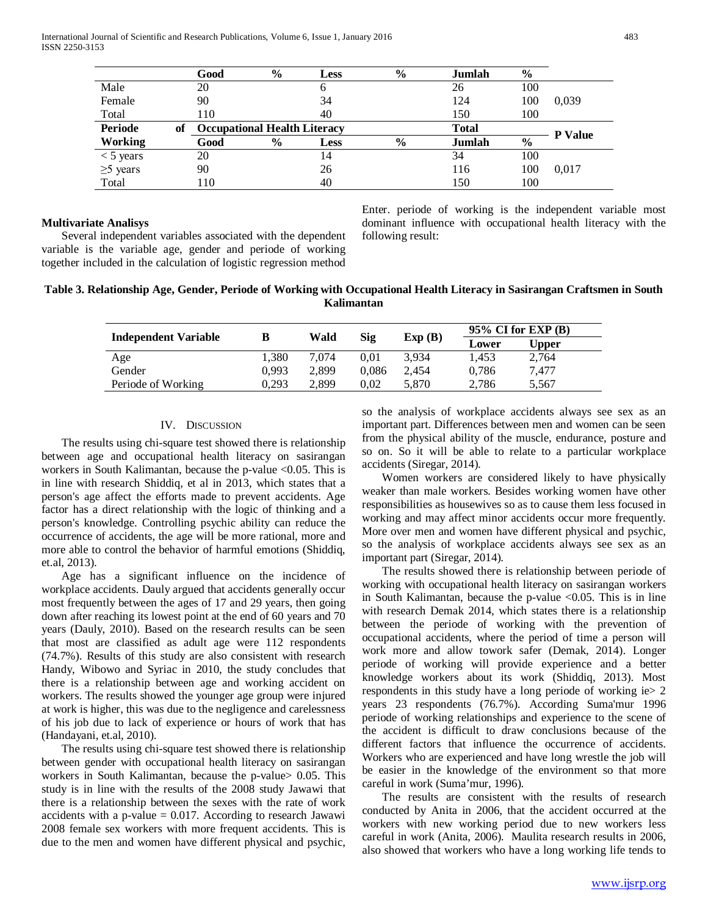International Journal of Scientific and Research Publications, Volume 6, Issue 1, January 2016 483 ISSN 2250-3153

|                |    | Good | $\%$ | <b>Less</b>                         | $\frac{6}{6}$ | Jumlah       | $\frac{6}{9}$ |                |
|----------------|----|------|------|-------------------------------------|---------------|--------------|---------------|----------------|
| Male           |    | 20   |      | b                                   |               | 26           | 100           |                |
| Female         |    | 90   |      | 34                                  |               | 124          | 100           | 0,039          |
| Total          |    | 110  |      | 40                                  |               | 150          | 100           |                |
| <b>Periode</b> | of |      |      | <b>Occupational Health Literacy</b> |               | <b>Total</b> |               | <b>P</b> Value |
| <b>Working</b> |    | Good | $\%$ | <b>Less</b>                         | $\%$          | Jumlah       | $\%$          |                |
| $<$ 5 years    |    | 20   |      | 14                                  |               | 34           | 100           |                |
| $\geq$ 5 years |    | 90   |      | 26                                  |               | 116          | 100           | 0.017          |
| Total          |    | 110  |      | 40                                  |               | 150          | 100           |                |

### **Multivariate Analisys**

 Several independent variables associated with the dependent variable is the variable age, gender and periode of working together included in the calculation of logistic regression method Enter. periode of working is the independent variable most dominant influence with occupational health literacy with the following result:

# **Table 3. Relationship Age, Gender, Periode of Working with Occupational Health Literacy in Sasirangan Craftsmen in South Kalimantan**

|                             |       | Wald  |       | Exp(B) | $95\%$ CI for EXP (B) |       |  |
|-----------------------------|-------|-------|-------|--------|-----------------------|-------|--|
| <b>Independent Variable</b> |       |       | Sig   |        | Lower                 | Upper |  |
| Age                         | 1.380 | 7.074 | 0.01  | 3.934  | 1.453                 | 2,764 |  |
| Gender                      | 0.993 | 2.899 | 0.086 | 2.454  | 0.786                 | 7.477 |  |
| Periode of Working          | 0,293 | 2.899 | 0.02  | 5.870  | 2,786                 | 5,567 |  |

### IV. DISCUSSION

 The results using chi-square test showed there is relationship between age and occupational health literacy on sasirangan workers in South Kalimantan, because the p-value <0.05. This is in line with research Shiddiq, et al in 2013, which states that a person's age affect the efforts made to prevent accidents. Age factor has a direct relationship with the logic of thinking and a person's knowledge. Controlling psychic ability can reduce the occurrence of accidents, the age will be more rational, more and more able to control the behavior of harmful emotions (Shiddiq, et.al, 2013).

 Age has a significant influence on the incidence of workplace accidents. Dauly argued that accidents generally occur most frequently between the ages of 17 and 29 years, then going down after reaching its lowest point at the end of 60 years and 70 years (Dauly, 2010). Based on the research results can be seen that most are classified as adult age were 112 respondents (74.7%). Results of this study are also consistent with research Handy, Wibowo and Syriac in 2010, the study concludes that there is a relationship between age and working accident on workers. The results showed the younger age group were injured at work is higher, this was due to the negligence and carelessness of his job due to lack of experience or hours of work that has (Handayani, et.al, 2010).

 The results using chi-square test showed there is relationship between gender with occupational health literacy on sasirangan workers in South Kalimantan, because the p-value> 0.05. This study is in line with the results of the 2008 study Jawawi that there is a relationship between the sexes with the rate of work accidents with a p-value  $= 0.017$ . According to research Jawawi 2008 female sex workers with more frequent accidents. This is due to the men and women have different physical and psychic,

so the analysis of workplace accidents always see sex as an important part. Differences between men and women can be seen from the physical ability of the muscle, endurance, posture and so on. So it will be able to relate to a particular workplace accidents (Siregar, 2014).

 Women workers are considered likely to have physically weaker than male workers. Besides working women have other responsibilities as housewives so as to cause them less focused in working and may affect minor accidents occur more frequently. More over men and women have different physical and psychic, so the analysis of workplace accidents always see sex as an important part (Siregar, 2014).

 The results showed there is relationship between periode of working with occupational health literacy on sasirangan workers in South Kalimantan, because the p-value  $\langle 0.05$ . This is in line with research Demak 2014, which states there is a relationship between the periode of working with the prevention of occupational accidents, where the period of time a person will work more and allow towork safer (Demak, 2014). Longer periode of working will provide experience and a better knowledge workers about its work (Shiddiq, 2013). Most respondents in this study have a long periode of working ie > 2 years 23 respondents (76.7%). According Suma'mur 1996 periode of working relationships and experience to the scene of the accident is difficult to draw conclusions because of the different factors that influence the occurrence of accidents. Workers who are experienced and have long wrestle the job will be easier in the knowledge of the environment so that more careful in work (Suma'mur, 1996).

 The results are consistent with the results of research conducted by Anita in 2006, that the accident occurred at the workers with new working period due to new workers less careful in work (Anita, 2006). Maulita research results in 2006, also showed that workers who have a long working life tends to